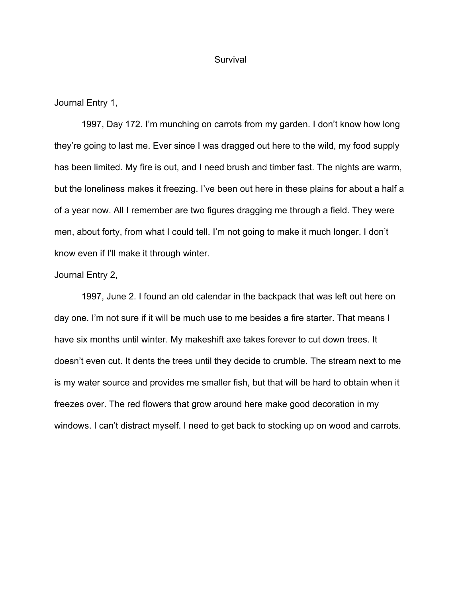#### Survival

Journal Entry 1,

1997, Day 172. I'm munching on carrots from my garden. I don't know how long they're going to last me. Ever since I was dragged out here to the wild, my food supply has been limited. My fire is out, and I need brush and timber fast. The nights are warm, but the loneliness makes it freezing. I've been out here in these plains for about a half a of a year now. All I remember are two figures dragging me through a field. They were men, about forty, from what I could tell. I'm not going to make it much longer. I don't know even if I'll make it through winter.

### Journal Entry 2,

1997, June 2. I found an old calendar in the backpack that was left out here on day one. I'm not sure if it will be much use to me besides a fire starter. That means I have six months until winter. My makeshift axe takes forever to cut down trees. It doesn't even cut. It dents the trees until they decide to crumble. The stream next to me is my water source and provides me smaller fish, but that will be hard to obtain when it freezes over. The red flowers that grow around here make good decoration in my windows. I can't distract myself. I need to get back to stocking up on wood and carrots.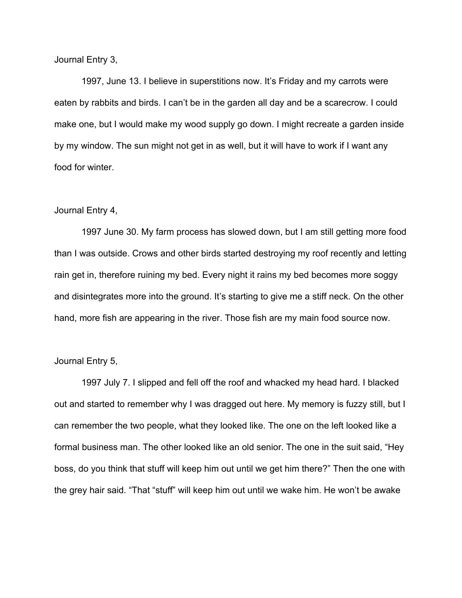Journal Entry 3,

1997, June 13. I believe in superstitions now. It's Friday and my carrots were eaten by rabbits and birds. I can't be in the garden all day and be a scarecrow. I could make one, but I would make my wood supply go down. I might recreate a garden inside by my window. The sun might not get in as well, but it will have to work if I want any food for winter.

## Journal Entry 4,

1997 June 30. My farm process has slowed down, but I am still getting more food than I was outside. Crows and other birds started destroying my roof recently and letting rain get in, therefore ruining my bed. Every night it rains my bed becomes more soggy and disintegrates more into the ground. It's starting to give me a stiff neck. On the other hand, more fish are appearing in the river. Those fish are my main food source now.

# Journal Entry 5,

1997 July 7. I slipped and fell off the roof and whacked my head hard. I blacked out and started to remember why I was dragged out here. My memory is fuzzy still, but I can remember the two people, what they looked like. The one on the left looked like a formal business man. The other looked like an old senior. The one in the suit said, "Hey boss, do you think that stuff will keep him out until we get him there?" Then the one with the grey hair said. "That "stuff" will keep him out until we wake him. He won't be awake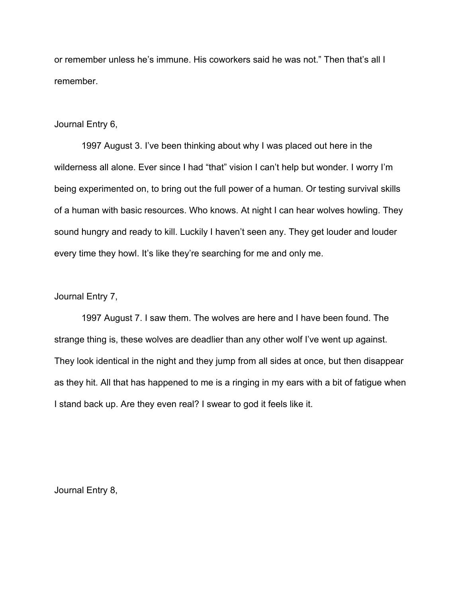or remember unless he's immune. His coworkers said he was not." Then that's all I remember.

## Journal Entry 6,

1997 August 3. I've been thinking about why I was placed out here in the wilderness all alone. Ever since I had "that" vision I can't help but wonder. I worry I'm being experimented on, to bring out the full power of a human. Or testing survival skills of a human with basic resources. Who knows. At night I can hear wolves howling. They sound hungry and ready to kill. Luckily I haven't seen any. They get louder and louder every time they howl. It's like they're searching for me and only me.

## Journal Entry 7,

1997 August 7. I saw them. The wolves are here and I have been found. The strange thing is, these wolves are deadlier than any other wolf I've went up against. They look identical in the night and they jump from all sides at once, but then disappear as they hit. All that has happened to me is a ringing in my ears with a bit of fatigue when I stand back up. Are they even real? I swear to god it feels like it.

Journal Entry 8,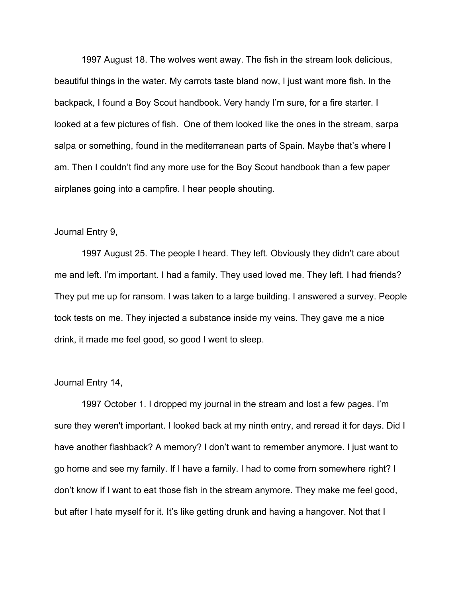1997 August 18. The wolves went away. The fish in the stream look delicious, beautiful things in the water. My carrots taste bland now, I just want more fish. In the backpack, I found a Boy Scout handbook. Very handy I'm sure, for a fire starter. I looked at a few pictures of fish. One of them looked like the ones in the stream, sarpa salpa or something, found in the mediterranean parts of Spain. Maybe that's where I am. Then I couldn't find any more use for the Boy Scout handbook than a few paper airplanes going into a campfire. I hear people shouting.

#### Journal Entry 9,

1997 August 25. The people I heard. They left. Obviously they didn't care about me and left. I'm important. I had a family. They used loved me. They left. I had friends? They put me up for ransom. I was taken to a large building. I answered a survey. People took tests on me. They injected a substance inside my veins. They gave me a nice drink, it made me feel good, so good I went to sleep.

#### Journal Entry 14,

1997 October 1. I dropped my journal in the stream and lost a few pages. I'm sure they weren't important. I looked back at my ninth entry, and reread it for days. Did I have another flashback? A memory? I don't want to remember anymore. I just want to go home and see my family. If I have a family. I had to come from somewhere right? I don't know if I want to eat those fish in the stream anymore. They make me feel good, but after I hate myself for it. It's like getting drunk and having a hangover. Not that I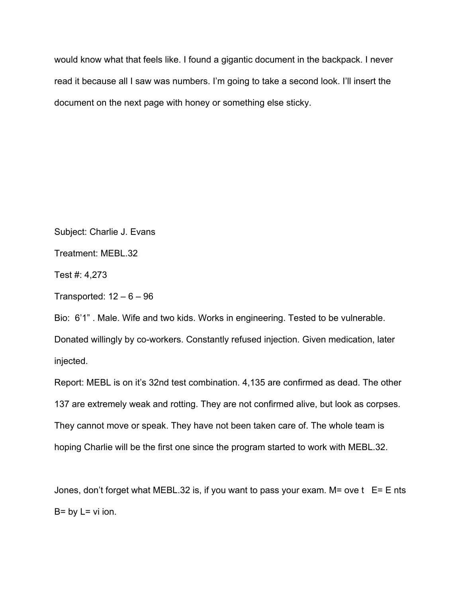would know what that feels like. I found a gigantic document in the backpack. I never read it because all I saw was numbers. I'm going to take a second look. I'll insert the document on the next page with honey or something else sticky.

Subject: Charlie J. Evans

Treatment: MEBL.32

Test #: 4,273

Transported:  $12 - 6 - 96$ 

Bio: 6'1" . Male. Wife and two kids. Works in engineering. Tested to be vulnerable. Donated willingly by co-workers. Constantly refused injection. Given medication, later injected.

Report: MEBL is on it's 32nd test combination. 4,135 are confirmed as dead. The other 137 are extremely weak and rotting. They are not confirmed alive, but look as corpses. They cannot move or speak. They have not been taken care of. The whole team is hoping Charlie will be the first one since the program started to work with MEBL.32.

Jones, don't forget what MEBL.32 is, if you want to pass your exam. M= ove  $t$  E= E nts  $B = by L = vi$  ion.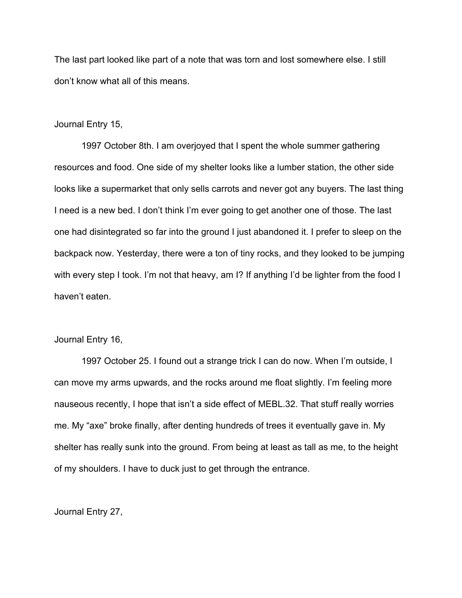The last part looked like part of a note that was torn and lost somewhere else. I still don't know what all of this means.

### Journal Entry 15,

1997 October 8th. I am overjoyed that I spent the whole summer gathering resources and food. One side of my shelter looks like a lumber station, the other side looks like a supermarket that only sells carrots and never got any buyers. The last thing I need is a new bed. I don't think I'm ever going to get another one of those. The last one had disintegrated so far into the ground I just abandoned it. I prefer to sleep on the backpack now. Yesterday, there were a ton of tiny rocks, and they looked to be jumping with every step I took. I'm not that heavy, am I? If anything I'd be lighter from the food I haven't eaten.

### Journal Entry 16,

1997 October 25. I found out a strange trick I can do now. When I'm outside, I can move my arms upwards, and the rocks around me float slightly. I'm feeling more nauseous recently, I hope that isn't a side effect of MEBL.32. That stuff really worries me. My "axe" broke finally, after denting hundreds of trees it eventually gave in. My shelter has really sunk into the ground. From being at least as tall as me, to the height of my shoulders. I have to duck just to get through the entrance.

Journal Entry 27,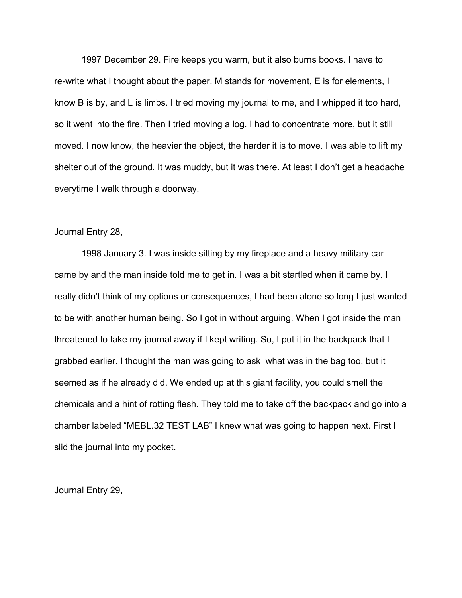1997 December 29. Fire keeps you warm, but it also burns books. I have to re-write what I thought about the paper. M stands for movement, E is for elements, I know B is by, and L is limbs. I tried moving my journal to me, and I whipped it too hard, so it went into the fire. Then I tried moving a log. I had to concentrate more, but it still moved. I now know, the heavier the object, the harder it is to move. I was able to lift my shelter out of the ground. It was muddy, but it was there. At least I don't get a headache everytime I walk through a doorway.

#### Journal Entry 28,

1998 January 3. I was inside sitting by my fireplace and a heavy military car came by and the man inside told me to get in. I was a bit startled when it came by. I really didn't think of my options or consequences, I had been alone so long I just wanted to be with another human being. So I got in without arguing. When I got inside the man threatened to take my journal away if I kept writing. So, I put it in the backpack that I grabbed earlier. I thought the man was going to ask what was in the bag too, but it seemed as if he already did. We ended up at this giant facility, you could smell the chemicals and a hint of rotting flesh. They told me to take off the backpack and go into a chamber labeled "MEBL.32 TEST LAB" I knew what was going to happen next. First I slid the journal into my pocket.

Journal Entry 29,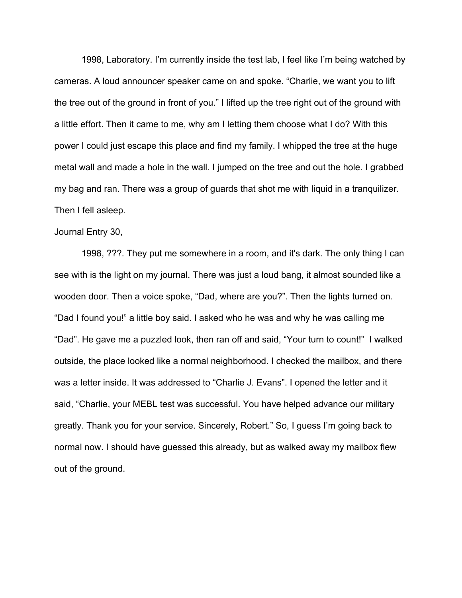1998, Laboratory. I'm currently inside the test lab, I feel like I'm being watched by cameras. A loud announcer speaker came on and spoke. "Charlie, we want you to lift the tree out of the ground in front of you." I lifted up the tree right out of the ground with a little effort. Then it came to me, why am I letting them choose what I do? With this power I could just escape this place and find my family. I whipped the tree at the huge metal wall and made a hole in the wall. I jumped on the tree and out the hole. I grabbed my bag and ran. There was a group of guards that shot me with liquid in a tranquilizer. Then I fell asleep.

#### Journal Entry 30,

1998, ???. They put me somewhere in a room, and it's dark. The only thing I can see with is the light on my journal. There was just a loud bang, it almost sounded like a wooden door. Then a voice spoke, "Dad, where are you?". Then the lights turned on. "Dad I found you!" a little boy said. I asked who he was and why he was calling me "Dad". He gave me a puzzled look, then ran off and said, "Your turn to count!" I walked outside, the place looked like a normal neighborhood. I checked the mailbox, and there was a letter inside. It was addressed to "Charlie J. Evans". I opened the letter and it said, "Charlie, your MEBL test was successful. You have helped advance our military greatly. Thank you for your service. Sincerely, Robert." So, I guess I'm going back to normal now. I should have guessed this already, but as walked away my mailbox flew out of the ground.